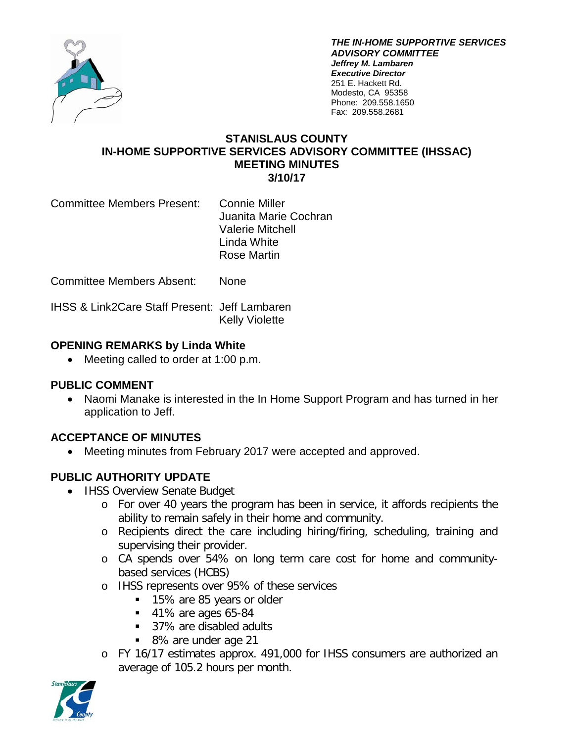

*THE IN-HOME SUPPORTIVE SERVICES ADVISORY COMMITTEE Jeffrey M. Lambaren Executive Director* 251 E. Hackett Rd. Modesto, CA 95358 Phone: 209.558.1650 Fax: 209.558.2681

#### **STANISLAUS COUNTY IN-HOME SUPPORTIVE SERVICES ADVISORY COMMITTEE (IHSSAC) MEETING MINUTES 3/10/17**

Committee Members Present: Connie Miller

Juanita Marie Cochran Valerie Mitchell Linda White Rose Martin

Committee Members Absent: None

IHSS & Link2Care Staff Present: Jeff Lambaren Kelly Violette

## **OPENING REMARKS by Linda White**

• Meeting called to order at 1:00 p.m.

## **PUBLIC COMMENT**

• Naomi Manake is interested in the In Home Support Program and has turned in her application to Jeff.

# **ACCEPTANCE OF MINUTES**

• Meeting minutes from February 2017 were accepted and approved.

## **PUBLIC AUTHORITY UPDATE**

- IHSS Overview Senate Budget
	- o For over 40 years the program has been in service, it affords recipients the ability to remain safely in their home and community.
	- o Recipients direct the care including hiring/firing, scheduling, training and supervising their provider.
	- o CA spends over 54% on long term care cost for home and communitybased services (HCBS)
	- o IHSS represents over 95% of these services
		- 15% are 85 years or older
		- **41% are ages 65-84**
		- 37% are disabled adults
		- 8% are under age 21
	- o FY 16/17 estimates approx. 491,000 for IHSS consumers are authorized an average of 105.2 hours per month.

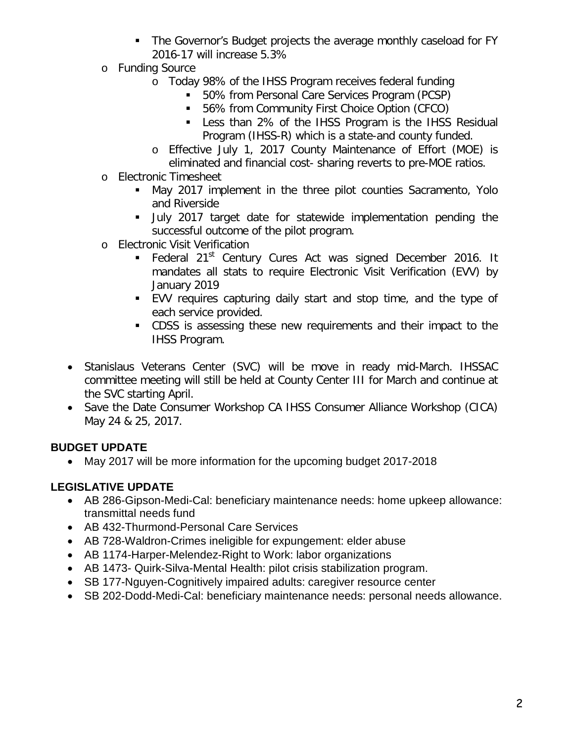- **The Governor's Budget projects the average monthly caseload for FY** 2016-17 will increase 5.3%
- o Funding Source
	- o Today 98% of the IHSS Program receives federal funding
		- 50% from Personal Care Services Program (PCSP)
		- 56% from Community First Choice Option (CFCO)
		- Less than 2% of the IHSS Program is the IHSS Residual Program (IHSS-R) which is a state-and county funded.
	- o Effective July 1, 2017 County Maintenance of Effort (MOE) is eliminated and financial cost- sharing reverts to pre-MOE ratios.
- o Electronic Timesheet
	- May 2017 implement in the three pilot counties Sacramento, Yolo and Riverside
	- July 2017 target date for statewide implementation pending the successful outcome of the pilot program.
- o Electronic Visit Verification
	- **Federal 21<sup>st</sup> Century Cures Act was signed December 2016. It** mandates all stats to require Electronic Visit Verification (EVV) by January 2019
	- EVV requires capturing daily start and stop time, and the type of each service provided.
	- CDSS is assessing these new requirements and their impact to the IHSS Program.
- Stanislaus Veterans Center (SVC) will be move in ready mid-March. IHSSAC committee meeting will still be held at County Center III for March and continue at the SVC starting April.
- Save the Date Consumer Workshop CA IHSS Consumer Alliance Workshop (CICA) May 24 & 25, 2017.

# **BUDGET UPDATE**

• May 2017 will be more information for the upcoming budget 2017-2018

# **LEGISLATIVE UPDATE**

- AB 286-Gipson-Medi-Cal: beneficiary maintenance needs: home upkeep allowance: transmittal needs fund
- AB 432-Thurmond-Personal Care Services
- AB 728-Waldron-Crimes ineligible for expungement: elder abuse
- AB 1174-Harper-Melendez-Right to Work: labor organizations
- AB 1473- Quirk-Silva-Mental Health: pilot crisis stabilization program.
- SB 177-Nguyen-Cognitively impaired adults: caregiver resource center
- SB 202-Dodd-Medi-Cal: beneficiary maintenance needs: personal needs allowance.